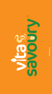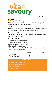

ACBS  $\overline{\checkmark}$ 

### **Description**

#### **Food for special medical purposes**

Vitasavoury is a range of powdered, low volume, high energy, savoury supplements available in Chicken and Golden Vegetable flavours.

### **Indications**

Vitasavoury is for the dietary management of disease related malnutrition, malabsorption states or other conditions requiring fortification with energy and protein.

#### **Dosage and Administration**

To be determined by the clinician or dietitian and is dependent on the age, body weight and medical condition of the patient.

### **Preparation Guidelines:**

- 1. Empty contents of sachet into a mug or bowl.
- 2. Boil water and leave to cool for 5 minutes.
- 3. Add100ml of hot water to the mug or bowl\*.
- 4. Stir until dissolved, serve and enjoy.
- \* Alternatively, to increase the nutritional content of Vitasavoury, prepare using 100ml of warm (not boiling) whole milk instead.

|                          | Energy (kcal) | Protein (g) |
|--------------------------|---------------|-------------|
| Prepared with water      | 309           |             |
| Prepared with whole milk | 375           |             |

### **IMPORTANT NOTICE**

Must only be used under strict medical supervision. Not for use as a sole source of nutrition. Suitable from 3 years of age. For enteral use only.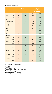## **Nutritional Information**

|                                                                     | <b>Per 100g</b>             |                   | Per 50g<br>(1 sachet)<br><b>Vitasavoury</b> |                          |
|---------------------------------------------------------------------|-----------------------------|-------------------|---------------------------------------------|--------------------------|
| kJ<br>Energy<br>kcal                                                | $\mathbf{C}$<br>2562<br>619 | GV<br>2562<br>619 | $\epsilon$<br>1281<br>309                   | <b>GV</b><br>1281<br>309 |
| Fat<br>$\overline{g}$<br>of which saturates<br>$\overline{g}$       | 52<br>23                    | 52<br>23          | 26<br>11.5                                  | 26<br>11.5               |
| Carbohydrate<br>$\overline{g}$<br>of which sugars<br>$\overline{g}$ | 22.5<br>1.4                 | 22.5<br>2.7       | 11.3<br>0.7                                 | 11.3<br>1.4              |
| <b>Fibre</b><br>$\overline{g}$                                      | 6.4                         | 6.4               | 3.2                                         | 3.2                      |
| Protein<br>$\overline{g}$                                           | 12                          | 12                | 6.0                                         | 6.0                      |
| Salt<br>g                                                           | 2.6                         | 2.4               | 1.3                                         | 1.2                      |
| <b>Minerals</b><br>Sodium<br>mg<br>mmol                             | 1021<br>43.9                | 957<br>41.2       | 511<br>22                                   | 479<br>20.6              |
| Chloride<br>mq<br>mmol                                              | 1207<br>33.8                | 1223<br>34.2      | 604<br>16.9                                 | 612<br>17.1              |
| Potassium<br>mg<br>mmol                                             | 97<br>2.4                   | 125<br>3.1        | 48.5<br>1.2                                 | 62.5<br>1.6              |
| Calcium<br>mg<br>mmol                                               | 75<br>1.9                   | 73<br>1.8         | 37.5<br>0.9                                 | 36.5<br>0.9              |
| Phosphorus<br>mg<br>mmol                                            | 75.4<br>2.4                 | 70.1<br>2.2       | 37.7<br>1.2                                 | 35.1<br>1.1              |
| Magnesium<br>mg<br>mmol                                             | 13.4<br>0.5                 | 14.7<br>0.6       | 6.7<br>0.3                                  | 7.4<br>0.3               |

**C** = Chicken. **GV** = Golden Vegetable.

# **Osmolality**

1 sachet (50g)  $+$  100ml water (standard dilution)  $=$ Chicken: 560 mOsm/kg Golden Vegetable: 570 mOsm/kg